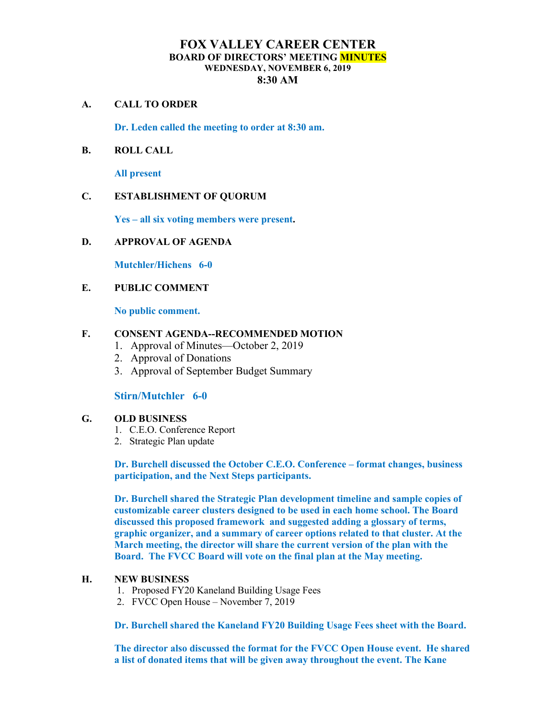# **FOX VALLEY CAREER CENTER BOARD OF DIRECTORS' MEETING MINUTES WEDNESDAY, NOVEMBER 6, 2019 8:30 AM**

#### **A. CALL TO ORDER**

**Dr. Leden called the meeting to order at 8:30 am.** 

## **B. ROLL CALL**

**All present**

## **C. ESTABLISHMENT OF QUORUM**

**Yes – all six voting members were present.** 

#### **D. APPROVAL OF AGENDA**

**Mutchler/Hichens 6-0**

#### **E. PUBLIC COMMENT**

**No public comment.**

#### **F. CONSENT AGENDA--RECOMMENDED MOTION**

- 1. Approval of Minutes—October 2, 2019
- 2. Approval of Donations
- 3. Approval of September Budget Summary

## **Stirn/Mutchler 6-0**

## **G. OLD BUSINESS**

- 1. C.E.O. Conference Report
- 2. Strategic Plan update

**Dr. Burchell discussed the October C.E.O. Conference – format changes, business participation, and the Next Steps participants.** 

**Dr. Burchell shared the Strategic Plan development timeline and sample copies of customizable career clusters designed to be used in each home school. The Board discussed this proposed framework and suggested adding a glossary of terms, graphic organizer, and a summary of career options related to that cluster. At the March meeting, the director will share the current version of the plan with the Board. The FVCC Board will vote on the final plan at the May meeting.** 

## **H. NEW BUSINESS**

- 1. Proposed FY20 Kaneland Building Usage Fees
- 2. FVCC Open House November 7, 2019

**Dr. Burchell shared the Kaneland FY20 Building Usage Fees sheet with the Board.** 

**The director also discussed the format for the FVCC Open House event. He shared a list of donated items that will be given away throughout the event. The Kane**